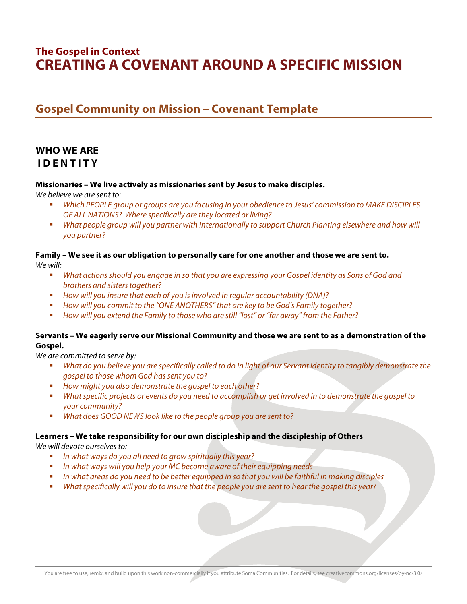# **The Gospel in Context CREATING A COVENANT AROUND A SPECIFIC MISSION**

# **Gospel Community on Mission – Covenant Template**

# **WHO WE ARE I D E N T I T Y**

### **Missionaries – We live actively as missionaries sent by Jesus to make disciples.**

*We believe we are sent to:* 

- *Which PEOPLE group or groups are you focusing in your obedience to Jesus' commission to MAKE DISCIPLES OF ALL NATIONS? Where specifically are they located or living?*
- **What people group will you partner with internationally to support Church Planting elsewhere and how will** *you partner?*

**Family – We see it as our obligation to personally care for one another and those we are sent to.**  *We will:* 

- *What actions should you engage in so that you are expressing your Gospel identity as Sons of God and brothers and sisters together?*
- *How will you insure that each of you is involved in regular accountability (DNA)?*
- *How will you commit to the "ONE ANOTHERS" that are key to be God's Family together?*
- *How will you extend the Family to those who are still "lost" or "far away" from the Father?*

### **Servants – We eagerly serve our Missional Community and those we are sent to as a demonstration of the Gospel.**

*We are committed to serve by:*

- *What do you believe you are specifically called to do in light of our Servant identity to tangibly demonstrate the gospel to those whom God has sent you to?*
- *How might you also demonstrate the gospel to each other?*
- *What specific projects or events do you need to accomplish or get involved in to demonstrate the gospel to your community?*
- *What does GOOD NEWS look like to the people group you are sent to?*

#### **Learners – We take responsibility for our own discipleship and the discipleship of Others**

*We will devote ourselves to:*

- *In what ways do you all need to grow spiritually this year?*
- *In what ways will you help your MC become aware of their equipping needs*
- *In what areas do you need to be better equipped in so that you will be faithful in making disciples*
- *What specifically will you do to insure that the people you are sent to hear the gospel this year?*